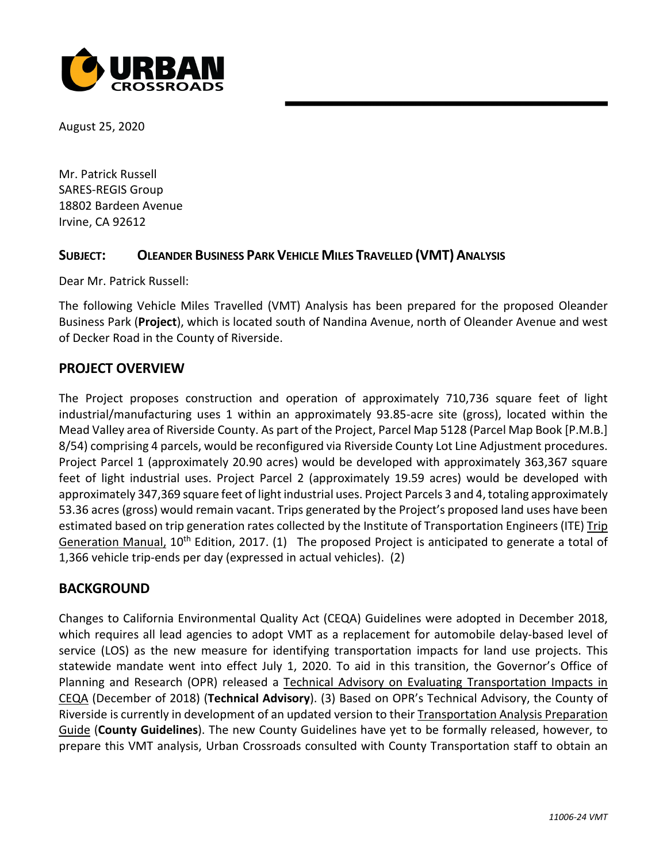

August 25, 2020

Mr. Patrick Russell SARES-REGIS Group 18802 Bardeen Avenue Irvine, CA 92612

#### **SUBJECT: OLEANDER BUSINESS PARK VEHICLE MILES TRAVELLED (VMT) ANALYSIS**

Dear Mr. Patrick Russell:

The following Vehicle Miles Travelled (VMT) Analysis has been prepared for the proposed Oleander Business Park (**Project**), which is located south of Nandina Avenue, north of Oleander Avenue and west of Decker Road in the County of Riverside.

#### **PROJECT OVERVIEW**

The Project proposes construction and operation of approximately 710,736 square feet of light industrial/manufacturing uses 1 within an approximately 93.85-acre site (gross), located within the Mead Valley area of Riverside County. As part of the Project, Parcel Map 5128 (Parcel Map Book [P.M.B.] 8/54) comprising 4 parcels, would be reconfigured via Riverside County Lot Line Adjustment procedures. Project Parcel 1 (approximately 20.90 acres) would be developed with approximately 363,367 square feet of light industrial uses. Project Parcel 2 (approximately 19.59 acres) would be developed with approximately 347,369 square feet of light industrial uses. Project Parcels 3 and 4, totaling approximately 53.36 acres (gross) would remain vacant. Trips generated by the Project's proposed land uses have been estimated based on trip generation rates collected by the Institute of Transportation Engineers (ITE) Trip Generation Manual,  $10^{th}$  Edition, 2017. (1) The proposed Project is anticipated to generate a total of 1,366 vehicle trip-ends per day (expressed in actual vehicles). (2)

### **BACKGROUND**

Changes to California Environmental Quality Act (CEQA) Guidelines were adopted in December 2018, which requires all lead agencies to adopt VMT as a replacement for automobile delay-based level of service (LOS) as the new measure for identifying transportation impacts for land use projects. This statewide mandate went into effect July 1, 2020. To aid in this transition, the Governor's Office of Planning and Research (OPR) released a Technical Advisory on Evaluating Transportation Impacts in CEQA (December of 2018) (**Technical Advisory**). (3) Based on OPR's Technical Advisory, the County of Riverside is currently in development of an updated version to their Transportation Analysis Preparation Guide (**County Guidelines**). The new County Guidelines have yet to be formally released, however, to prepare this VMT analysis, Urban Crossroads consulted with County Transportation staff to obtain an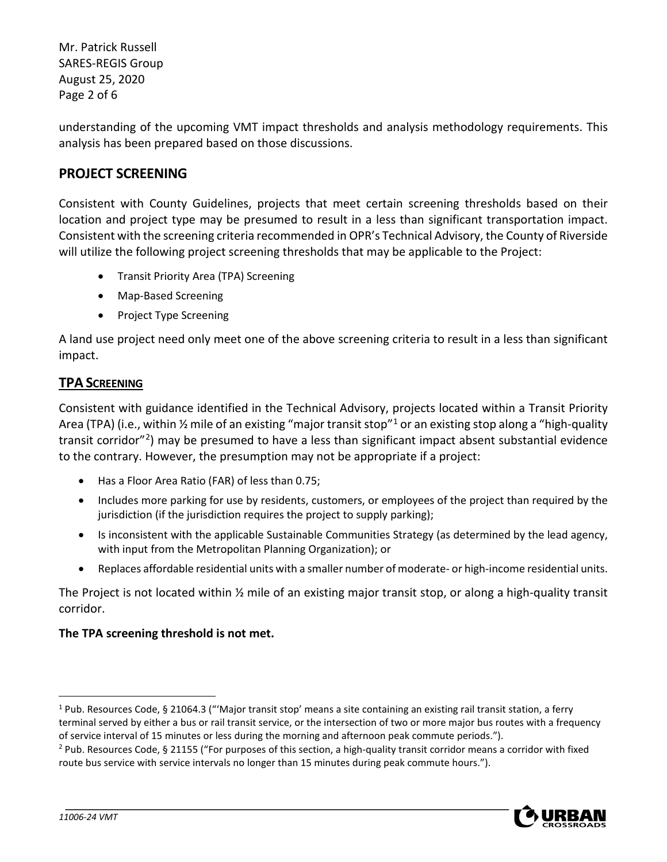Mr. Patrick Russell SARES-REGIS Group August 25, 2020 Page 2 of 6

understanding of the upcoming VMT impact thresholds and analysis methodology requirements. This analysis has been prepared based on those discussions.

# **PROJECT SCREENING**

Consistent with County Guidelines, projects that meet certain screening thresholds based on their location and project type may be presumed to result in a less than significant transportation impact. Consistent with the screening criteria recommended in OPR's Technical Advisory, the County of Riverside will utilize the following project screening thresholds that may be applicable to the Project:

- Transit Priority Area (TPA) Screening
- Map-Based Screening
- Project Type Screening

A land use project need only meet one of the above screening criteria to result in a less than significant impact.

## **TPA SCREENING**

Consistent with guidance identified in the Technical Advisory, projects located within a Transit Priority Area (TPA) (i.e., within  $\frac{1}{2}$  $\frac{1}{2}$  $\frac{1}{2}$  mile of an existing "major transit stop"<sup>1</sup> or an existing stop along a "high-quality transit corridor"[2\)](#page-1-1) may be presumed to have a less than significant impact absent substantial evidence to the contrary. However, the presumption may not be appropriate if a project:

- Has a Floor Area Ratio (FAR) of less than 0.75;
- Includes more parking for use by residents, customers, or employees of the project than required by the jurisdiction (if the jurisdiction requires the project to supply parking);
- Is inconsistent with the applicable Sustainable Communities Strategy (as determined by the lead agency, with input from the Metropolitan Planning Organization); or
- Replaces affordable residential units with a smaller number of moderate- or high-income residential units.

The Project is not located within ½ mile of an existing major transit stop, or along a high-quality transit corridor.

### **The TPA screening threshold is not met.**

<span id="page-1-1"></span><sup>2</sup> Pub. Resources Code, § 21155 ("For purposes of this section, a high-quality transit corridor means a corridor with fixed route bus service with service intervals no longer than 15 minutes during peak commute hours.").



<span id="page-1-0"></span> $1$  Pub. Resources Code, § 21064.3 ("Major transit stop' means a site containing an existing rail transit station, a ferry terminal served by either a bus or rail transit service, or the intersection of two or more major bus routes with a frequency of service interval of 15 minutes or less during the morning and afternoon peak commute periods.").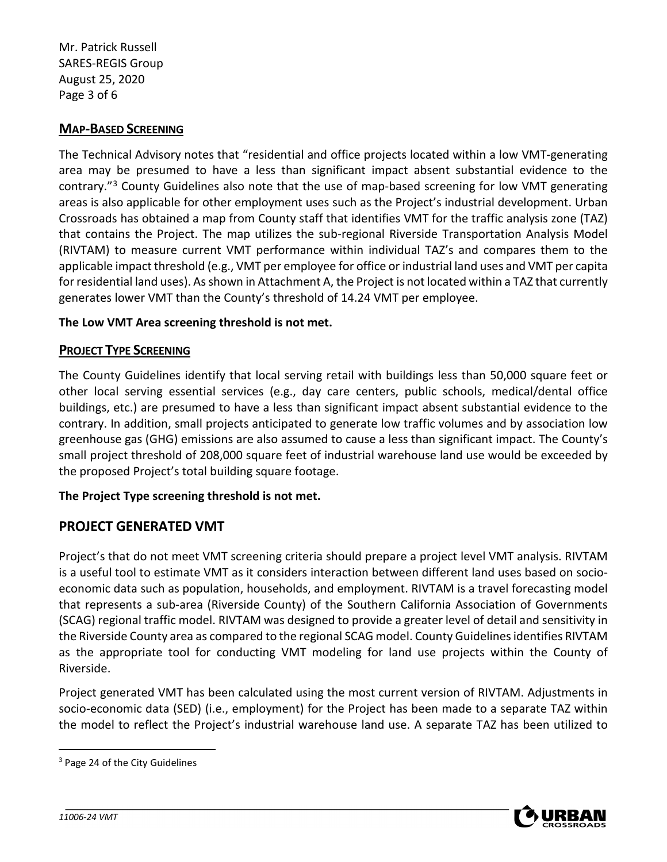Mr. Patrick Russell SARES-REGIS Group August 25, 2020 Page 3 of 6

# **MAP-BASED SCREENING**

The Technical Advisory notes that "residential and office projects located within a low VMT-generating area may be presumed to have a less than significant impact absent substantial evidence to the contrary."[3](#page-2-0) County Guidelines also note that the use of map-based screening for low VMT generating areas is also applicable for other employment uses such as the Project's industrial development. Urban Crossroads has obtained a map from County staff that identifies VMT for the traffic analysis zone (TAZ) that contains the Project. The map utilizes the sub-regional Riverside Transportation Analysis Model (RIVTAM) to measure current VMT performance within individual TAZ's and compares them to the applicable impact threshold (e.g., VMT per employee for office or industrial land uses and VMT per capita for residential land uses). As shown in Attachment A, the Project is not located within a TAZ that currently generates lower VMT than the County's threshold of 14.24 VMT per employee.

#### **The Low VMT Area screening threshold is not met.**

#### **PROJECT TYPE SCREENING**

The County Guidelines identify that local serving retail with buildings less than 50,000 square feet or other local serving essential services (e.g., day care centers, public schools, medical/dental office buildings, etc.) are presumed to have a less than significant impact absent substantial evidence to the contrary. In addition, small projects anticipated to generate low traffic volumes and by association low greenhouse gas (GHG) emissions are also assumed to cause a less than significant impact. The County's small project threshold of 208,000 square feet of industrial warehouse land use would be exceeded by the proposed Project's total building square footage.

### **The Project Type screening threshold is not met.**

### **PROJECT GENERATED VMT**

Project's that do not meet VMT screening criteria should prepare a project level VMT analysis. RIVTAM is a useful tool to estimate VMT as it considers interaction between different land uses based on socioeconomic data such as population, households, and employment. RIVTAM is a travel forecasting model that represents a sub-area (Riverside County) of the Southern California Association of Governments (SCAG) regional traffic model. RIVTAM was designed to provide a greater level of detail and sensitivity in the Riverside County area as compared to the regional SCAG model. County Guidelines identifies RIVTAM as the appropriate tool for conducting VMT modeling for land use projects within the County of Riverside.

Project generated VMT has been calculated using the most current version of RIVTAM. Adjustments in socio-economic data (SED) (i.e., employment) for the Project has been made to a separate TAZ within the model to reflect the Project's industrial warehouse land use. A separate TAZ has been utilized to



<span id="page-2-0"></span><sup>&</sup>lt;sup>3</sup> Page 24 of the City Guidelines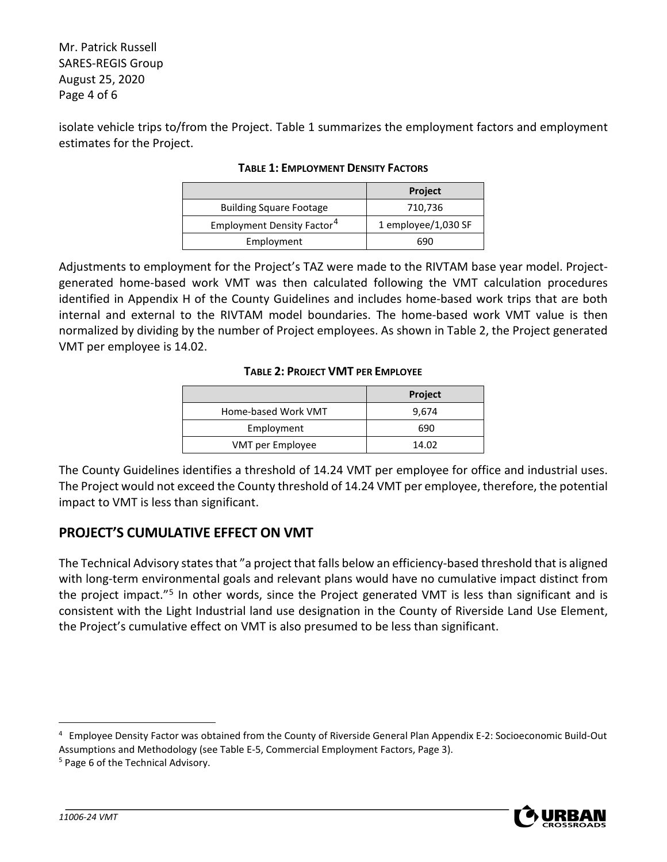Mr. Patrick Russell SARES-REGIS Group August 25, 2020 Page 4 of 6

isolate vehicle trips to/from the Project. Table 1 summarizes the employment factors and employment estimates for the Project.

|                                        | <b>Project</b>      |
|----------------------------------------|---------------------|
| <b>Building Square Footage</b>         | 710,736             |
| Employment Density Factor <sup>4</sup> | 1 employee/1,030 SF |
| Employment                             | 690                 |

#### **TABLE 1: EMPLOYMENT DENSITY FACTORS**

Adjustments to employment for the Project's TAZ were made to the RIVTAM base year model. Projectgenerated home-based work VMT was then calculated following the VMT calculation procedures identified in Appendix H of the County Guidelines and includes home-based work trips that are both internal and external to the RIVTAM model boundaries. The home-based work VMT value is then normalized by dividing by the number of Project employees. As shown in Table 2, the Project generated VMT per employee is 14.02.

#### **TABLE 2: PROJECT VMT PER EMPLOYEE**

|                     | <b>Project</b> |
|---------------------|----------------|
| Home-based Work VMT | 9,674          |
| Employment          | 690            |
| VMT per Employee    | 14.02          |

The County Guidelines identifies a threshold of 14.24 VMT per employee for office and industrial uses. The Project would not exceed the County threshold of 14.24 VMT per employee, therefore, the potential impact to VMT is less than significant.

# **PROJECT'S CUMULATIVE EFFECT ON VMT**

The Technical Advisory states that "a project that falls below an efficiency-based threshold that is aligned with long-term environmental goals and relevant plans would have no cumulative impact distinct from the project impact."[5](#page-3-1) In other words, since the Project generated VMT is less than significant and is consistent with the Light Industrial land use designation in the County of Riverside Land Use Element, the Project's cumulative effect on VMT is also presumed to be less than significant.



<span id="page-3-0"></span><sup>4</sup> Employee Density Factor was obtained from the County of Riverside General Plan Appendix E-2: Socioeconomic Build-Out Assumptions and Methodology (see Table E-5, Commercial Employment Factors, Page 3).<br><sup>5</sup> Page 6 of the Technical Advisory.

<span id="page-3-1"></span>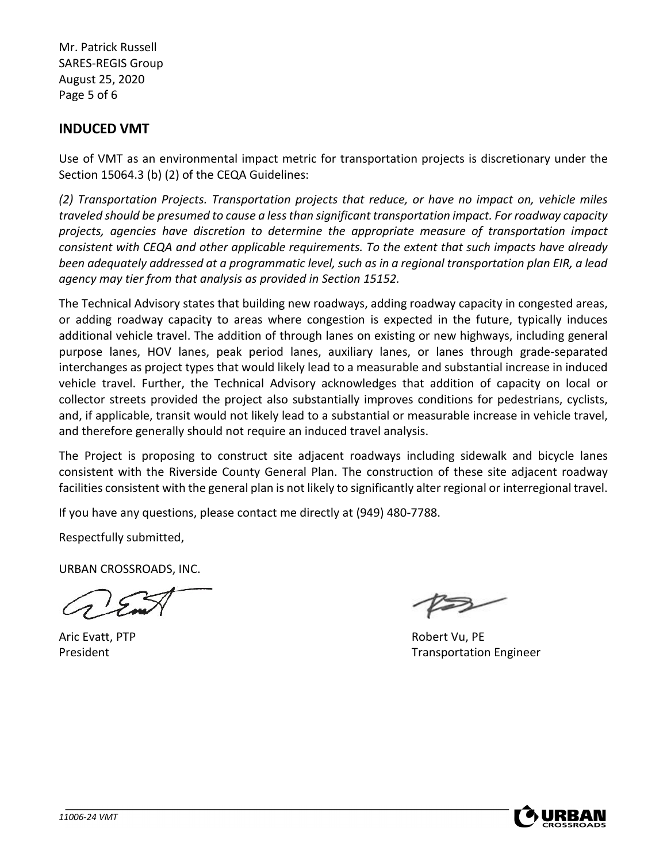Mr. Patrick Russell SARES-REGIS Group August 25, 2020 Page 5 of 6

# **INDUCED VMT**

Use of VMT as an environmental impact metric for transportation projects is discretionary under the Section 15064.3 (b) (2) of the CEQA Guidelines:

*(2) Transportation Projects. Transportation projects that reduce, or have no impact on, vehicle miles traveled should be presumed to cause a less than significant transportation impact. For roadway capacity projects, agencies have discretion to determine the appropriate measure of transportation impact consistent with CEQA and other applicable requirements. To the extent that such impacts have already been adequately addressed at a programmatic level, such as in a regional transportation plan EIR, a lead agency may tier from that analysis as provided in Section 15152.* 

The Technical Advisory states that building new roadways, adding roadway capacity in congested areas, or adding roadway capacity to areas where congestion is expected in the future, typically induces additional vehicle travel. The addition of through lanes on existing or new highways, including general purpose lanes, HOV lanes, peak period lanes, auxiliary lanes, or lanes through grade-separated interchanges as project types that would likely lead to a measurable and substantial increase in induced vehicle travel. Further, the Technical Advisory acknowledges that addition of capacity on local or collector streets provided the project also substantially improves conditions for pedestrians, cyclists, and, if applicable, transit would not likely lead to a substantial or measurable increase in vehicle travel, and therefore generally should not require an induced travel analysis.

The Project is proposing to construct site adjacent roadways including sidewalk and bicycle lanes consistent with the Riverside County General Plan. The construction of these site adjacent roadway facilities consistent with the general plan is not likely to significantly alter regional or interregional travel.

If you have any questions, please contact me directly at (949) 480-7788.

Respectfully submitted,

URBAN CROSSROADS, INC.

Aric Evatt, PTP **Robert Vu, PE** 

President Transportation Engineer

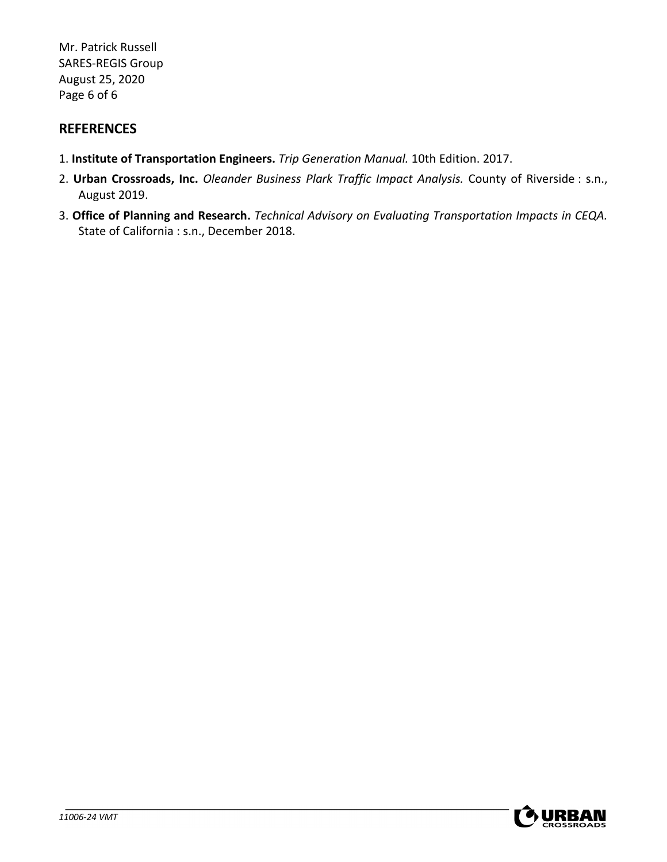Mr. Patrick Russell SARES-REGIS Group August 25, 2020 Page 6 of 6

# **REFERENCES**

- 1. **Institute of Transportation Engineers.** *Trip Generation Manual.* 10th Edition. 2017.
- 2. **Urban Crossroads, Inc.** *Oleander Business Plark Traffic Impact Analysis.* County of Riverside : s.n., August 2019.
- 3. **Office of Planning and Research.** *Technical Advisory on Evaluating Transportation Impacts in CEQA.*  State of California : s.n., December 2018.

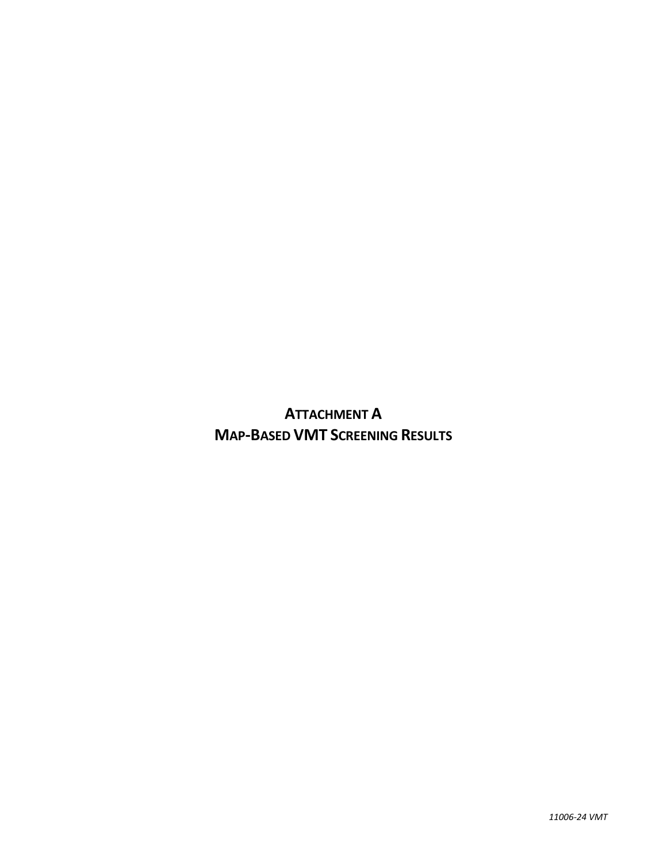**ATTACHMENT A MAP-BASED VMT SCREENING RESULTS**